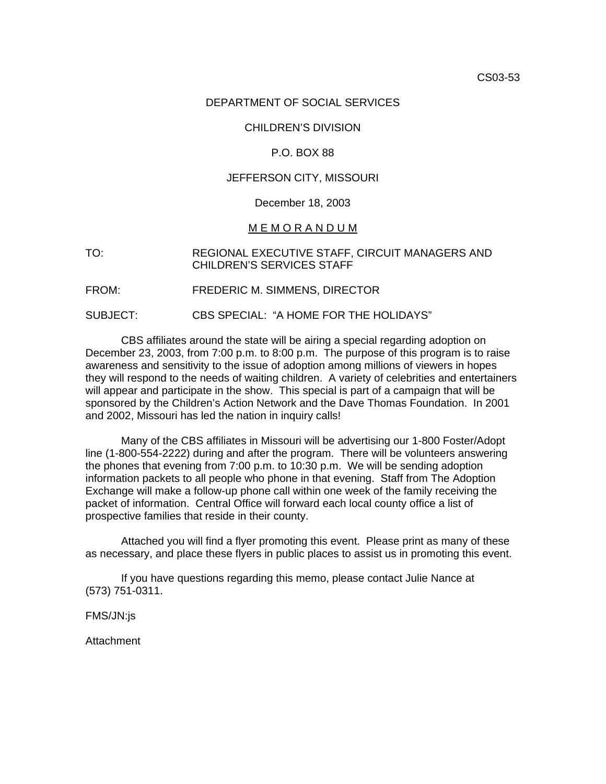#### DEPARTMENT OF SOCIAL SERVICES

#### CHILDREN'S DIVISION

#### P.O. BOX 88

#### JEFFERSON CITY, MISSOURI

#### December 18, 2003

#### M E M O R A N D U M

#### TO: REGIONAL EXECUTIVE STAFF, CIRCUIT MANAGERS AND CHILDREN'S SERVICES STAFF

FROM: FREDERIC M. SIMMENS, DIRECTOR

SUBJECT: CBS SPECIAL: "A HOME FOR THE HOLIDAYS"

CBS affiliates around the state will be airing a special regarding adoption on December 23, 2003, from 7:00 p.m. to 8:00 p.m. The purpose of this program is to raise awareness and sensitivity to the issue of adoption among millions of viewers in hopes they will respond to the needs of waiting children. A variety of celebrities and entertainers will appear and participate in the show. This special is part of a campaign that will be sponsored by the Children's Action Network and the Dave Thomas Foundation. In 2001 and 2002, Missouri has led the nation in inquiry calls!

Many of the CBS affiliates in Missouri will be advertising our 1-800 Foster/Adopt line (1-800-554-2222) during and after the program. There will be volunteers answering the phones that evening from 7:00 p.m. to 10:30 p.m. We will be sending adoption information packets to all people who phone in that evening. Staff from The Adoption Exchange will make a follow-up phone call within one week of the family receiving the packet of information. Central Office will forward each local county office a list of prospective families that reside in their county.

Attached you will find a flyer promoting this event. Please print as many of these as necessary, and place these flyers in public places to assist us in promoting this event.

If you have questions regarding this memo, please contact Julie Nance at (573) 751-0311.

FMS/JN:js

Attachment